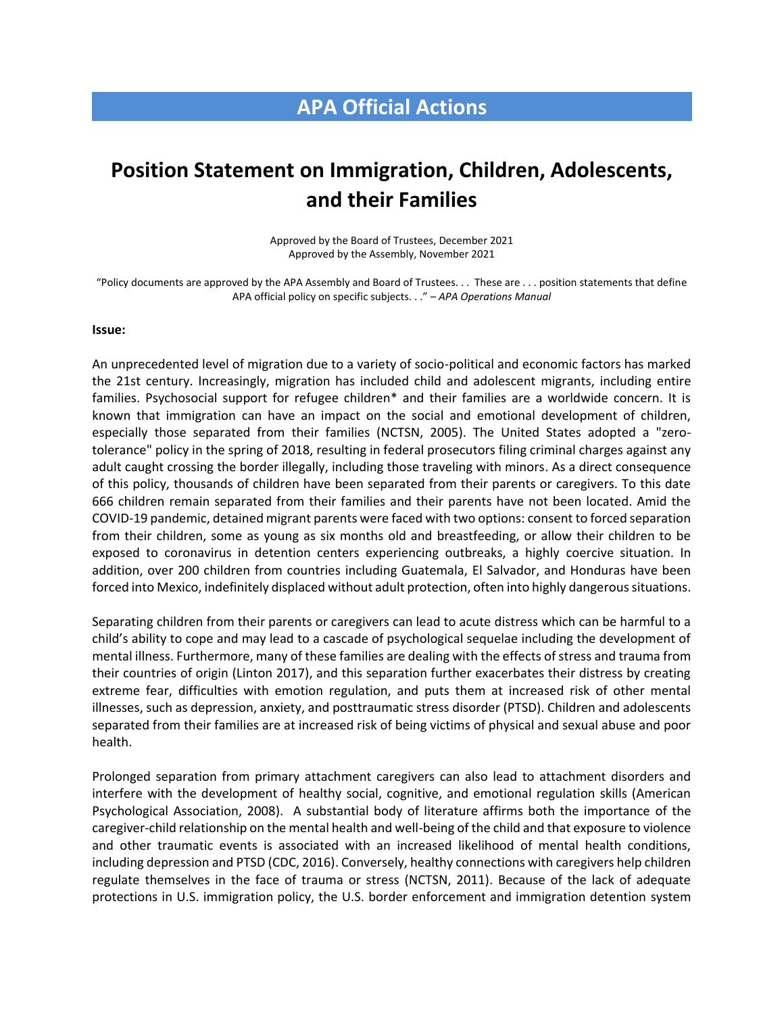## **APA Official Actions**

## **Position Statement on Immigration, Children, Adolescents, and their Families**

Approved by the Board of Trustees, December 2021 Approved by the Assembly, November 2021

"Policy documents are approved by the APA Assembly and Board of Trustees. . . These are . . . position statements that define APA official policy on specific subjects. . ." – *APA Operations Manual*

## **Issue:**

An unprecedented level of migration due to a variety of socio-political and economic factors has marked the 21st century. Increasingly, migration has included child and adolescent migrants, including entire families. Psychosocial support for refugee children\* and their families are a worldwide concern. It is known that immigration can have an impact on the social and emotional development of children, especially those separated from their families (NCTSN, 2005). The United States adopted a "zerotolerance" policy in the spring of 2018, resulting in federal prosecutors filing criminal charges against any adult caught crossing the border illegally, including those traveling with minors. As a direct consequence of this policy, thousands of children have been separated from their parents or caregivers. To this date 666 children remain separated from their families and their parents have not been located. Amid the COVID-19 pandemic, detained migrant parents were faced with two options: consent to forced separation from their children, some as young as six months old and breastfeeding, or allow their children to be exposed to coronavirus in detention centers experiencing outbreaks, a highly coercive situation. In addition, over 200 children from countries including Guatemala, El Salvador, and Honduras have been forced into Mexico, indefinitely displaced without adult protection, often into highly dangerous situations.

Separating children from their parents or caregivers can lead to acute distress which can be harmful to a child's ability to cope and may lead to a cascade of psychological sequelae including the development of mental illness. Furthermore, many of these families are dealing with the effects of stress and trauma from their countries of origin (Linton 2017), and this separation further exacerbates their distress by creating extreme fear, difficulties with emotion regulation, and puts them at increased risk of other mental illnesses, such as depression, anxiety, and posttraumatic stress disorder (PTSD). Children and adolescents separated from their families are at increased risk of being victims of physical and sexual abuse and poor health.

Prolonged separation from primary attachment caregivers can also lead to attachment disorders and interfere with the development of healthy social, cognitive, and emotional regulation skills (American Psychological Association, 2008). A substantial body of literature affirms both the importance of the caregiver-child relationship on the mental health and well-being of the child and that exposure to violence and other traumatic events is associated with an increased likelihood of mental health conditions, including depression and PTSD (CDC, 2016). Conversely, healthy connections with caregivers help children regulate themselves in the face of trauma or stress (NCTSN, 2011). Because of the lack of adequate protections in U.S. immigration policy, the U.S. border enforcement and immigration detention system